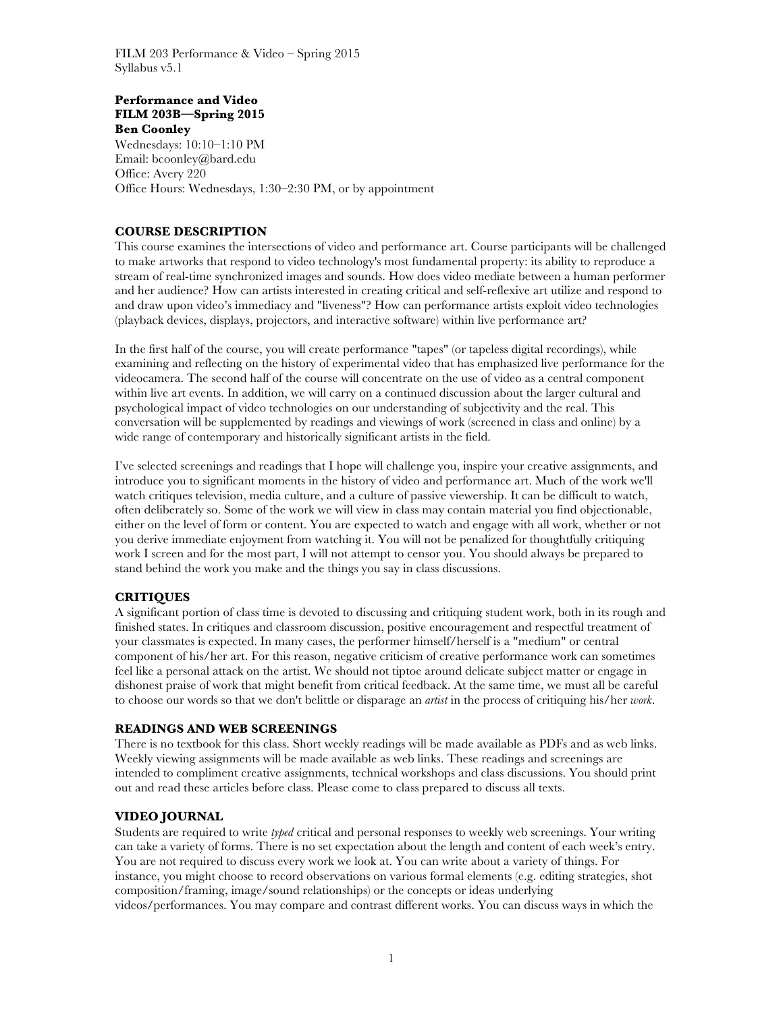## **Performance and Video FILM 203B—Spring 2015 Ben Coonley**

Wednesdays: 10:10–1:10 PM Email: bcoonley@bard.edu Office: Avery 220 Office Hours: Wednesdays, 1:30–2:30 PM, or by appointment

# **COURSE DESCRIPTION**

This course examines the intersections of video and performance art. Course participants will be challenged to make artworks that respond to video technology's most fundamental property: its ability to reproduce a stream of real-time synchronized images and sounds. How does video mediate between a human performer and her audience? How can artists interested in creating critical and self-reflexive art utilize and respond to and draw upon video's immediacy and "liveness"? How can performance artists exploit video technologies (playback devices, displays, projectors, and interactive software) within live performance art?

In the first half of the course, you will create performance "tapes" (or tapeless digital recordings), while examining and reflecting on the history of experimental video that has emphasized live performance for the videocamera. The second half of the course will concentrate on the use of video as a central component within live art events. In addition, we will carry on a continued discussion about the larger cultural and psychological impact of video technologies on our understanding of subjectivity and the real. This conversation will be supplemented by readings and viewings of work (screened in class and online) by a wide range of contemporary and historically significant artists in the field.

I've selected screenings and readings that I hope will challenge you, inspire your creative assignments, and introduce you to significant moments in the history of video and performance art. Much of the work we'll watch critiques television, media culture, and a culture of passive viewership. It can be difficult to watch, often deliberately so. Some of the work we will view in class may contain material you find objectionable, either on the level of form or content. You are expected to watch and engage with all work, whether or not you derive immediate enjoyment from watching it. You will not be penalized for thoughtfully critiquing work I screen and for the most part, I will not attempt to censor you. You should always be prepared to stand behind the work you make and the things you say in class discussions.

# **CRITIQUES**

A significant portion of class time is devoted to discussing and critiquing student work, both in its rough and finished states. In critiques and classroom discussion, positive encouragement and respectful treatment of your classmates is expected. In many cases, the performer himself/herself is a "medium" or central component of his/her art. For this reason, negative criticism of creative performance work can sometimes feel like a personal attack on the artist. We should not tiptoe around delicate subject matter or engage in dishonest praise of work that might benefit from critical feedback. At the same time, we must all be careful to choose our words so that we don't belittle or disparage an *artist* in the process of critiquing his/her *work*.

## **READINGS AND WEB SCREENINGS**

There is no textbook for this class. Short weekly readings will be made available as PDFs and as web links. Weekly viewing assignments will be made available as web links. These readings and screenings are intended to compliment creative assignments, technical workshops and class discussions. You should print out and read these articles before class. Please come to class prepared to discuss all texts.

## **VIDEO JOURNAL**

Students are required to write *typed* critical and personal responses to weekly web screenings. Your writing can take a variety of forms. There is no set expectation about the length and content of each week's entry. You are not required to discuss every work we look at. You can write about a variety of things. For instance, you might choose to record observations on various formal elements (e.g. editing strategies, shot composition/framing, image/sound relationships) or the concepts or ideas underlying videos/performances. You may compare and contrast different works. You can discuss ways in which the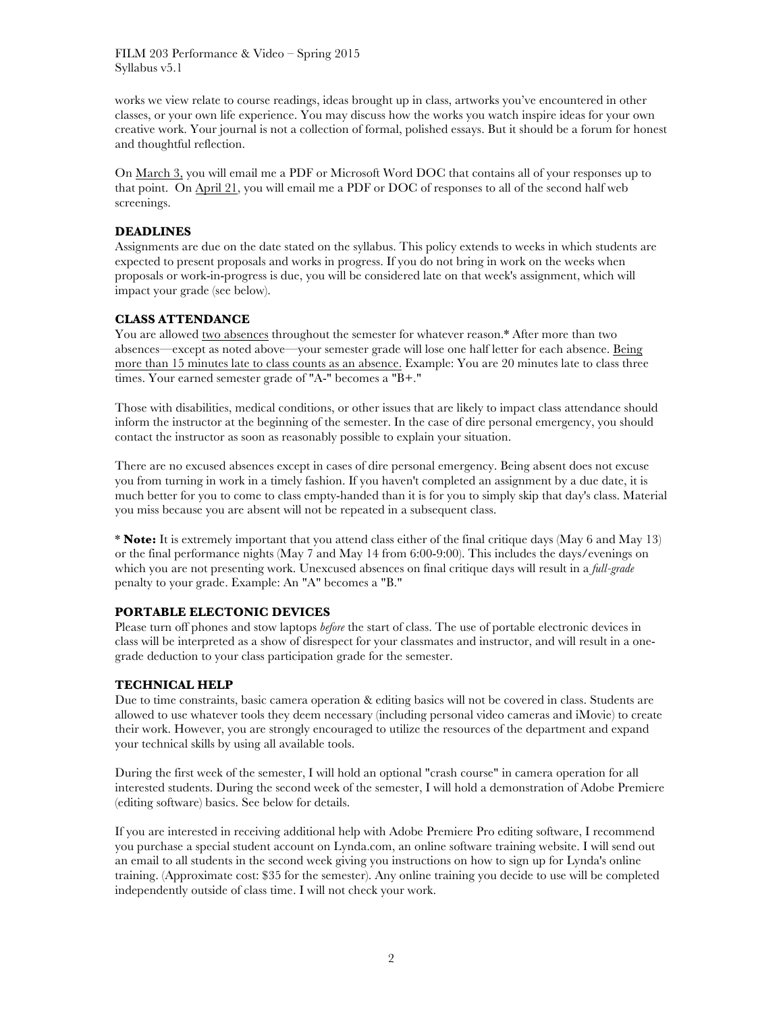works we view relate to course readings, ideas brought up in class, artworks you've encountered in other classes, or your own life experience. You may discuss how the works you watch inspire ideas for your own creative work. Your journal is not a collection of formal, polished essays. But it should be a forum for honest and thoughtful reflection.

On March 3, you will email me a PDF or Microsoft Word DOC that contains all of your responses up to that point. On April 21, you will email me a PDF or DOC of responses to all of the second half web screenings.

## **DEADLINES**

Assignments are due on the date stated on the syllabus. This policy extends to weeks in which students are expected to present proposals and works in progress. If you do not bring in work on the weeks when proposals or work-in-progress is due, you will be considered late on that week's assignment, which will impact your grade (see below).

# **CLASS ATTENDANCE**

You are allowed two absences throughout the semester for whatever reason.\* After more than two absences—except as noted above—your semester grade will lose one half letter for each absence. Being more than 15 minutes late to class counts as an absence. Example: You are 20 minutes late to class three times. Your earned semester grade of "A-" becomes a "B+."

Those with disabilities, medical conditions, or other issues that are likely to impact class attendance should inform the instructor at the beginning of the semester. In the case of dire personal emergency, you should contact the instructor as soon as reasonably possible to explain your situation.

There are no excused absences except in cases of dire personal emergency. Being absent does not excuse you from turning in work in a timely fashion. If you haven't completed an assignment by a due date, it is much better for you to come to class empty-handed than it is for you to simply skip that day's class. Material you miss because you are absent will not be repeated in a subsequent class.

\* **Note:** It is extremely important that you attend class either of the final critique days (May 6 and May 13) or the final performance nights (May 7 and May 14 from 6:00-9:00). This includes the days/evenings on which you are not presenting work. Unexcused absences on final critique days will result in a *full-grade* penalty to your grade. Example: An "A" becomes a "B."

# **PORTABLE ELECTONIC DEVICES**

Please turn off phones and stow laptops *before* the start of class. The use of portable electronic devices in class will be interpreted as a show of disrespect for your classmates and instructor, and will result in a onegrade deduction to your class participation grade for the semester.

## **TECHNICAL HELP**

Due to time constraints, basic camera operation & editing basics will not be covered in class. Students are allowed to use whatever tools they deem necessary (including personal video cameras and iMovie) to create their work. However, you are strongly encouraged to utilize the resources of the department and expand your technical skills by using all available tools.

During the first week of the semester, I will hold an optional "crash course" in camera operation for all interested students. During the second week of the semester, I will hold a demonstration of Adobe Premiere (editing software) basics. See below for details.

If you are interested in receiving additional help with Adobe Premiere Pro editing software, I recommend you purchase a special student account on Lynda.com, an online software training website. I will send out an email to all students in the second week giving you instructions on how to sign up for Lynda's online training. (Approximate cost: \$35 for the semester). Any online training you decide to use will be completed independently outside of class time. I will not check your work.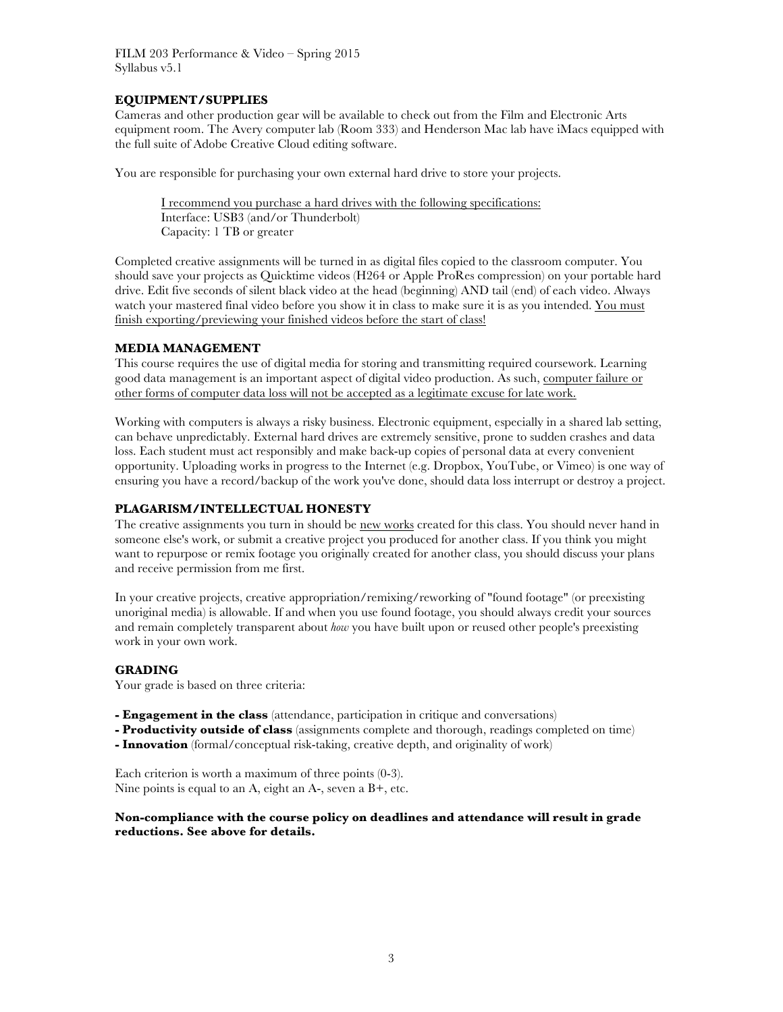# **EQUIPMENT/SUPPLIES**

Cameras and other production gear will be available to check out from the Film and Electronic Arts equipment room. The Avery computer lab (Room 333) and Henderson Mac lab have iMacs equipped with the full suite of Adobe Creative Cloud editing software.

You are responsible for purchasing your own external hard drive to store your projects.

I recommend you purchase a hard drives with the following specifications: Interface: USB3 (and/or Thunderbolt) Capacity: 1 TB or greater

Completed creative assignments will be turned in as digital files copied to the classroom computer. You should save your projects as Quicktime videos (H264 or Apple ProRes compression) on your portable hard drive. Edit five seconds of silent black video at the head (beginning) AND tail (end) of each video. Always watch your mastered final video before you show it in class to make sure it is as you intended. You must finish exporting/previewing your finished videos before the start of class!

# **MEDIA MANAGEMENT**

This course requires the use of digital media for storing and transmitting required coursework. Learning good data management is an important aspect of digital video production. As such, computer failure or other forms of computer data loss will not be accepted as a legitimate excuse for late work.

Working with computers is always a risky business. Electronic equipment, especially in a shared lab setting, can behave unpredictably. External hard drives are extremely sensitive, prone to sudden crashes and data loss. Each student must act responsibly and make back-up copies of personal data at every convenient opportunity. Uploading works in progress to the Internet (e.g. Dropbox, YouTube, or Vimeo) is one way of ensuring you have a record/backup of the work you've done, should data loss interrupt or destroy a project.

# **PLAGARISM/INTELLECTUAL HONESTY**

The creative assignments you turn in should be new works created for this class. You should never hand in someone else's work, or submit a creative project you produced for another class. If you think you might want to repurpose or remix footage you originally created for another class, you should discuss your plans and receive permission from me first.

In your creative projects, creative appropriation/remixing/reworking of "found footage" (or preexisting unoriginal media) is allowable. If and when you use found footage, you should always credit your sources and remain completely transparent about *how* you have built upon or reused other people's preexisting work in your own work.

# **GRADING**

Your grade is based on three criteria:

- **- Engagement in the class** (attendance, participation in critique and conversations)
- **- Productivity outside of class** (assignments complete and thorough, readings completed on time)
- **- Innovation** (formal/conceptual risk-taking, creative depth, and originality of work)

Each criterion is worth a maximum of three points (0-3). Nine points is equal to an A, eight an A-, seven a B+, etc.

**Non-compliance with the course policy on deadlines and attendance will result in grade reductions. See above for details.**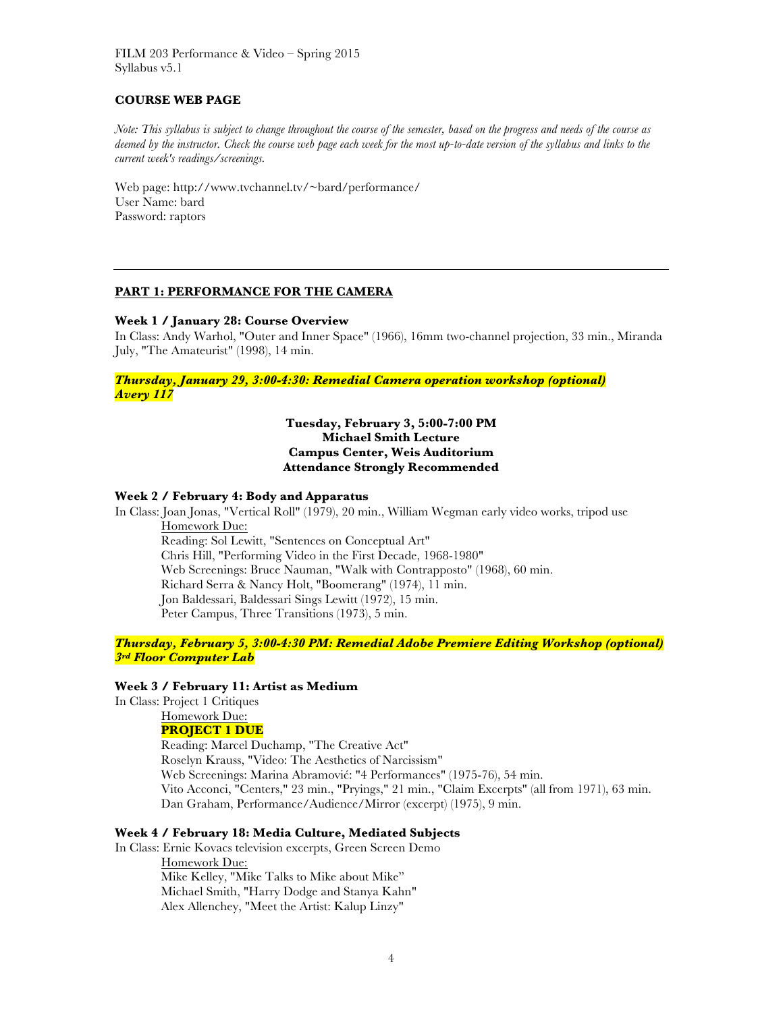## **COURSE WEB PAGE**

*Note: This syllabus is subject to change throughout the course of the semester, based on the progress and needs of the course as deemed by the instructor. Check the course web page each week for the most up-to-date version of the syllabus and links to the current week's readings/screenings.*

Web page: http://www.tvchannel.tv/~bard/performance/ User Name: bard Password: raptors

#### **PART 1: PERFORMANCE FOR THE CAMERA**

#### **Week 1 / January 28: Course Overview**

In Class: Andy Warhol, "Outer and Inner Space" (1966), 16mm two-channel projection, 33 min., Miranda July, "The Amateurist" (1998), 14 min.

*Thursday, January 29, 3:00-4:30: Remedial Camera operation workshop (optional) Avery 117*

## **Tuesday, February 3, 5:00-7:00 PM Michael Smith Lecture Campus Center, Weis Auditorium Attendance Strongly Recommended**

### **Week 2 / February 4: Body and Apparatus**

In Class: Joan Jonas, "Vertical Roll" (1979), 20 min., William Wegman early video works, tripod use Homework Due:

Reading: Sol Lewitt, "Sentences on Conceptual Art" Chris Hill, "Performing Video in the First Decade, 1968-1980" Web Screenings: Bruce Nauman, "Walk with Contrapposto" (1968), 60 min. Richard Serra & Nancy Holt, "Boomerang" (1974), 11 min. Jon Baldessari, Baldessari Sings Lewitt (1972), 15 min. Peter Campus, Three Transitions (1973), 5 min.

*Thursday, February 5, 3:00-4:30 PM: Remedial Adobe Premiere Editing Workshop (optional) 3rd Floor Computer Lab*

## **Week 3 / February 11: Artist as Medium**

In Class: Project 1 Critiques

# Homework Due:

**PROJECT 1 DUE** Reading: Marcel Duchamp, "The Creative Act" Roselyn Krauss, "Video: The Aesthetics of Narcissism" Web Screenings: Marina Abramović: "4 Performances" (1975-76), 54 min. Vito Acconci, "Centers," 23 min., "Pryings," 21 min., "Claim Excerpts" (all from 1971), 63 min. Dan Graham, Performance/Audience/Mirror (excerpt) (1975), 9 min.

### **Week 4 / February 18: Media Culture, Mediated Subjects**

In Class: Ernie Kovacs television excerpts, Green Screen Demo Homework Due: Mike Kelley, "Mike Talks to Mike about Mike" Michael Smith, "Harry Dodge and Stanya Kahn" Alex Allenchey, "Meet the Artist: Kalup Linzy"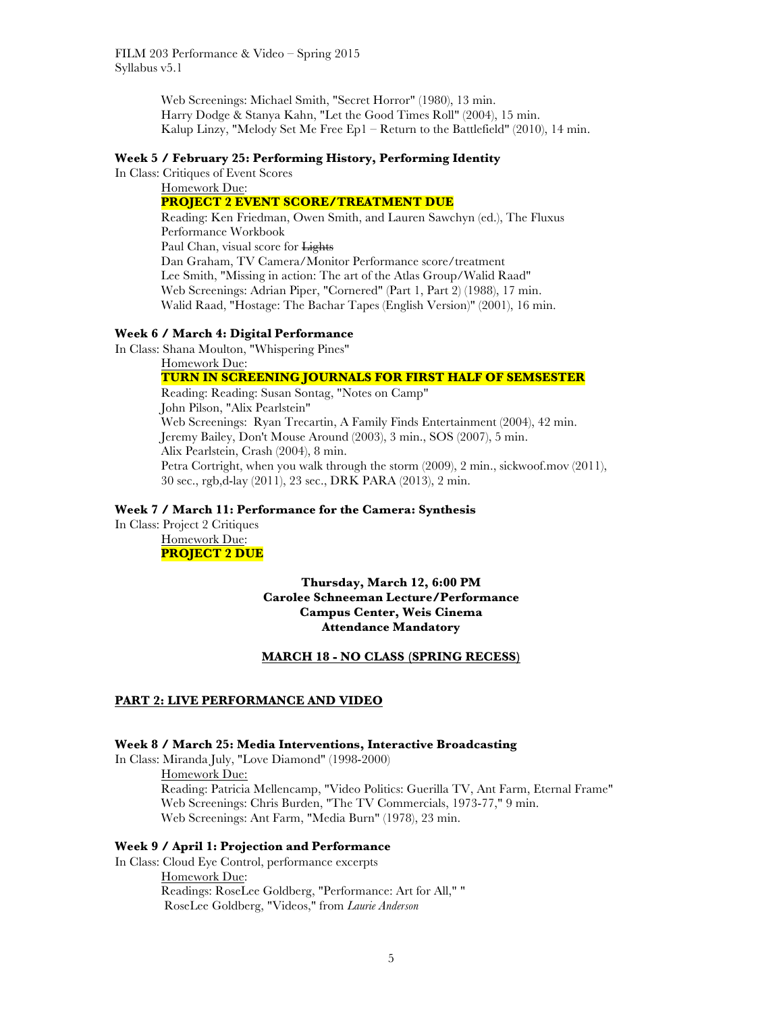Web Screenings: Michael Smith, "Secret Horror" (1980), 13 min. Harry Dodge & Stanya Kahn, "Let the Good Times Roll" (2004), 15 min. Kalup Linzy, "Melody Set Me Free Ep1 – Return to the Battlefield" (2010), 14 min.

#### **Week 5 / February 25: Performing History, Performing Identity**

In Class: Critiques of Event Scores

#### Homework Due: **PROJECT 2 EVENT SCORE/TREATMENT DUE**

Reading: Ken Friedman, Owen Smith, and Lauren Sawchyn (ed.), The Fluxus Performance Workbook Paul Chan, visual score for Lights Dan Graham, TV Camera/Monitor Performance score/treatment Lee Smith, "Missing in action: The art of the Atlas Group/Walid Raad" Web Screenings: Adrian Piper, "Cornered" (Part 1, Part 2) (1988), 17 min. Walid Raad, "Hostage: The Bachar Tapes (English Version)" (2001), 16 min.

#### **Week 6 / March 4: Digital Performance**

In Class: Shana Moulton, "Whispering Pines"

Homework Due:

# **TURN IN SCREENING JOURNALS FOR FIRST HALF OF SEMSESTER**

Reading: Reading: Susan Sontag, "Notes on Camp" John Pilson, "Alix Pearlstein" Web Screenings: Ryan Trecartin, A Family Finds Entertainment (2004), 42 min. Jeremy Bailey, Don't Mouse Around (2003), 3 min., SOS (2007), 5 min. Alix Pearlstein, Crash (2004), 8 min. Petra Cortright, when you walk through the storm (2009), 2 min., sickwoof.mov (2011), 30 sec., rgb,d-lay (2011), 23 sec., DRK PARA (2013), 2 min.

#### **Week 7 / March 11: Performance for the Camera: Synthesis**

In Class: Project 2 Critiques Homework Due:

# **PROJECT 2 DUE**

**Thursday, March 12, 6:00 PM Carolee Schneeman Lecture/Performance Campus Center, Weis Cinema Attendance Mandatory**

## **MARCH 18 - NO CLASS (SPRING RECESS)**

### **PART 2: LIVE PERFORMANCE AND VIDEO**

## **Week 8 / March 25: Media Interventions, Interactive Broadcasting**

In Class: Miranda July, "Love Diamond" (1998-2000) Homework Due: Reading: Patricia Mellencamp, "Video Politics: Guerilla TV, Ant Farm, Eternal Frame" Web Screenings: Chris Burden, "The TV Commercials, 1973-77," 9 min. Web Screenings: Ant Farm, "Media Burn" (1978), 23 min.

### **Week 9 / April 1: Projection and Performance**

In Class: Cloud Eye Control, performance excerpts Homework Due: Readings: RoseLee Goldberg, "Performance: Art for All," " RoseLee Goldberg, "Videos," from *Laurie Anderson*